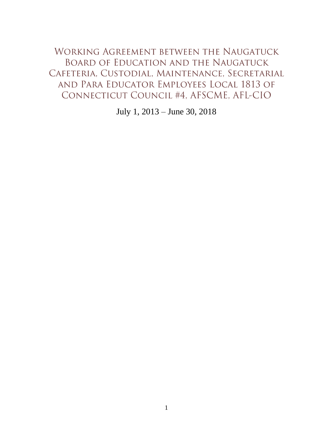<span id="page-0-0"></span>WORKING AGREEMENT BETWEEN THE NAUGATUCK BOARD OF EDUCATION AND THE NAUGATUCK CAFETERIA, CUSTODIAL, MAINTENANCE, SECRETARIAL AND PARA EDUCATOR EMPLOYEES LOCAL 1813 OF CONNECTICUT COUNCIL #4, AFSCME, AFL-CIO

July 1, 2013 – June 30, 2018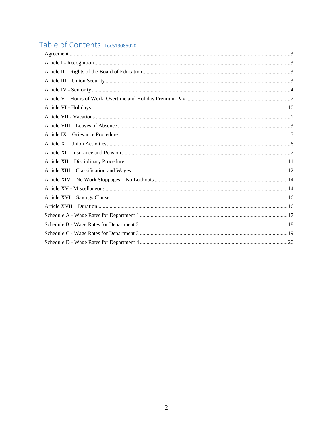# Table of Contents\_Toc519085020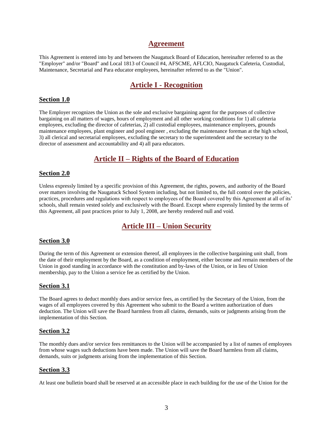### **Agreement**

<span id="page-2-0"></span>This Agreement is entered into by and between the Naugatuck Board of Education, hereinafter referred to as the "Employer" and/or "Board" and Local 1813 of Council #4, AFSCME, AFLCIO, Naugatuck Cafeteria, Custodial, Maintenance, Secretarial and Para educator employees, hereinafter referred to as the "Union".

## **Article I - Recognition**

### <span id="page-2-1"></span>**Section 1.0**

The Employer recognizes the Union as the sole and exclusive bargaining agent for the purposes of collective bargaining on all matters of wages, hours of employment and all other working conditions for 1) all cafeteria employees, excluding the director of cafeterias, 2) all custodial employees, maintenance employees, grounds maintenance employees, plant engineer and pool engineer , excluding the maintenance foreman at the high school, 3) all clerical and secretarial employees, excluding the secretary to the superintendent and the secretary to the director of assessment and accountability and 4) all para educators.

## **Article II – Rights of the Board of Education**

### <span id="page-2-2"></span>**Section 2.0**

Unless expressly limited by a specific provision of this Agreement, the rights, powers, and authority of the Board over matters involving the Naugatuck School System including, but not limited to, the full control over the policies, practices, procedures and regulations with respect to employees of the Board covered by this Agreement at all of its' schools, shall remain vested solely and exclusively with the Board. Except where expressly limited by the terms of this Agreement, all past practices prior to July 1, 2008, are hereby rendered null and void.

## **Article III – Union Security**

### <span id="page-2-3"></span>**Section 3.0**

During the term of this Agreement or extension thereof, all employees in the collective bargaining unit shall, from the date of their employment by the Board, as a condition of employment, either become and remain members of the Union in good standing in accordance with the constitution and by-laws of the Union, or in lieu of Union membership, pay to the Union a service fee as certified by the Union.

### **Section 3.1**

The Board agrees to deduct monthly dues and/or service fees, as certified by the Secretary of the Union, from the wages of all employees covered by this Agreement who submit to the Board a written authorization of dues deduction. The Union will save the Board harmless from all claims, demands, suits or judgments arising from the implementation of this Section.

### **Section 3.2**

The monthly dues and/or service fees remittances to the Union will be accompanied by a list of names of employees from whose wages such deductions have been made. The Union will save the Board harmless from all claims, demands, suits or judgments arising from the implementation of this Section.

### **Section 3.3**

At least one bulletin board shall be reserved at an accessible place in each building for the use of the Union for the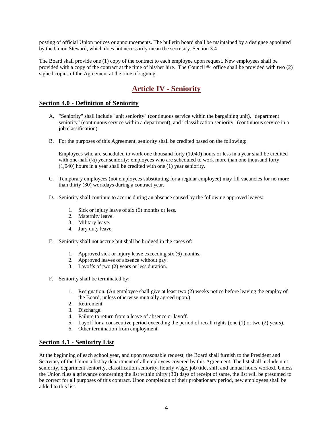posting of official Union notices or announcements. The bulletin board shall be maintained by a designee appointed by the Union Steward, which does not necessarily mean the secretary. Section 3.4

The Board shall provide one (1) copy of the contract to each employee upon request. New employees shall be provided with a copy of the contract at the time of his/her hire. The Council #4 office shall be provided with two (2) signed copies of the Agreement at the time of signing.

## **Article IV - Seniority**

### <span id="page-3-0"></span>**Section 4.0 - Definition of Seniority**

- A. "Seniority" shall include "unit seniority" (continuous service within the bargaining unit), "department seniority" (continuous service within a department), and "classification seniority" (continuous service in a job classification).
- B. For the purposes of this Agreement, seniority shall be credited based on the following:

Employees who are scheduled to work one thousand forty (1,040) hours or less in a year shall be credited with one-half ( $\frac{1}{2}$ ) year seniority; employees who are scheduled to work more than one thousand forty (1,040) hours in a year shall be credited with one (1) year seniority.

- C. Temporary employees (not employees substituting for a regular employee) may fill vacancies for no more than thirty (30) workdays during a contract year.
- D. Seniority shall continue to accrue during an absence caused by the following approved leaves:
	- 1. Sick or injury leave of six (6) months or less.
	- 2. Maternity leave.
	- 3. Military leave.
	- 4. Jury duty leave.
- E. Seniority shall not accrue but shall be bridged in the cases of:
	- 1. Approved sick or injury leave exceeding six (6) months.
	- 2. Approved leaves of absence without pay.
	- 3. Layoffs of two (2) years or less duration.
- F. Seniority shall be terminated by:
	- 1. Resignation. (An employee shall give at least two (2) weeks notice before leaving the employ of the Board, unless otherwise mutually agreed upon.)
	- 2. Retirement.
	- 3. Discharge.
	- 4. Failure to return from a leave of absence or layoff.
	- 5. Layoff for a consecutive period exceeding the period of recall rights (one (1) or two (2) years).
	- 6. Other termination from employment.

### **Section 4.1 - Seniority List**

At the beginning of each school year, and upon reasonable request, the Board shall furnish to the President and Secretary of the Union a list by department of all employees covered by this Agreement. The list shall include unit seniority, department seniority, classification seniority, hourly wage, job title, shift and annual hours worked. Unless the Union files a grievance concerning the list within thirty (30) days of receipt of same, the list will be presumed to be correct for all purposes of this contract. Upon completion of their probationary period, new employees shall be added to this list.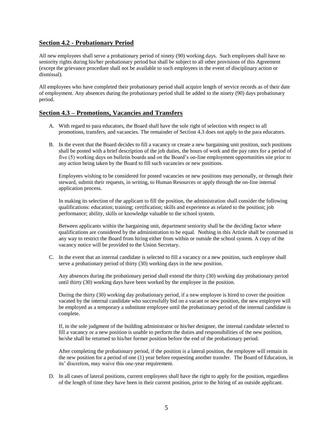### **Section 4.2 - Probationary Period**

All new employees shall serve a probationary period of ninety (90) working days. Such employees shall have no seniority rights during his/her probationary period but shall be subject to all other provisions of this Agreement (except the grievance procedure shall not be available to such employees in the event of disciplinary action or dismissal).

All employees who have completed their probationary period shall acquire length of service records as of their date of employment. Any absences during the probationary period shall be added to the ninety (90) days probationary period.

### **Section 4.3 – Promotions, Vacancies and Transfers**

- A. With regard to para educators, the Board shall have the sole right of selection with respect to all promotions, transfers, and vacancies. The remainder of Section 4.3 does not apply to the para educators.
- B. In the event that the Board decides to fill a vacancy or create a new bargaining unit position, such positions shall be posted with a brief description of the job duties, the hours of work and the pay rates for a period of five (5) working days on bulletin boards and on the Board's on-line employment opportunities site prior to any action being taken by the Board to fill such vacancies or new positions.

Employees wishing to be considered for posted vacancies or new positions may personally, or through their steward, submit their requests, in writing, to Human Resources or apply through the on-line internal application process.

In making its selection of the applicant to fill the position, the administration shall consider the following qualifications: education; training; certification; skills and experience as related to the position; job performance; ability, skills or knowledge valuable to the school system.

Between applicants within the bargaining unit, department seniority shall be the deciding factor where qualifications are considered by the administration to be equal. Nothing in this Article shall be construed in any way to restrict the Board from hiring either from within or outside the school system. A copy of the vacancy notice will be provided to the Union Secretary.

C. In the event that an internal candidate is selected to fill a vacancy or a new position, such employee shall serve a probationary period of thirty (30) working days in the new position.

Any absences during the probationary period shall extend the thirty (30) working day probationary period until thirty (30) working days have been worked by the employee in the position.

During the thirty (30) working day probationary period, if a new employee is hired to cover the position vacated by the internal candidate who successfully bid on a vacant or new position, the new employee will be employed as a temporary a substitute employee until the probationary period of the internal candidate is complete.

If, in the sole judgment of the building administrator or his/her designee, the internal candidate selected to fill a vacancy or a new position is unable to perform the duties and responsibilities of the new position, he/she shall be returned to his/her former position before the end of the probationary period.

After completing the probationary period, if the position is a lateral position, the employee will remain in the new position for a period of one (1) year before requesting another transfer. The Board of Education, in its' discretion, may waive this one-year requirement.

D. In all cases of lateral positions, current employees shall have the right to apply for the position, regardless of the length of time they have been in their current position, prior to the hiring of an outside applicant.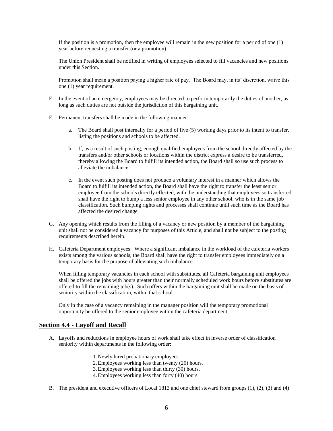If the position is a promotion, then the employee will remain in the new position for a period of one (1) year before requesting a transfer (or a promotion).

The Union President shall be notified in writing of employees selected to fill vacancies and new positions under this Section.

Promotion shall mean a position paying a higher rate of pay. The Board may, in its' discretion, waive this one (1) year requirement.

- E. In the event of an emergency, employees may be directed to perform temporarily the duties of another, as long as such duties are not outside the jurisdiction of this bargaining unit.
- F. Permanent transfers shall be made in the following manner:
	- a. The Board shall post internally for a period of five (5) working days prior to its intent to transfer, listing the positions and schools to be affected.
	- b. If, as a result of such posting, enough qualified employees from the school directly affected by the transfers and/or other schools or locations within the district express a desire to be transferred, thereby allowing the Board to fulfill its intended action, the Board shall so use such process to alleviate the imbalance.
	- c. In the event such posting does not produce a voluntary interest in a manner which allows the Board to fulfill its intended action, the Board shall have the right to transfer the least senior employee from the schools directly effected, with the understanding that employees so transferred shall have the right to bump a less senior employee in any other school, who is in the same job classification. Such bumping rights and processes shall continue until such time as the Board has affected the desired change.
- G. Any opening which results from the filling of a vacancy or new position by a member of the bargaining unit shall not be considered a vacancy for purposes of this Article, and shall not be subject to the posting requirements described herein.
- H. Cafeteria Department employees: Where a significant imbalance in the workload of the cafeteria workers exists among the various schools, the Board shall have the right to transfer employees immediately on a temporary basis for the purpose of alleviating such imbalance.

When filling temporary vacancies in each school with substitutes, all Cafeteria bargaining unit employees shall be offered the jobs with hours greater than their normally scheduled work hours before substitutes are offered to fill the remaining job(s). Such offers within the bargaining unit shall be made on the basis of seniority within the classification, within that school.

Only in the case of a vacancy remaining in the manager position will the temporary promotional opportunity be offered to the senior employee within the cafeteria department.

#### **Section 4.4 - Layoff and Recall**

- A. Layoffs and reductions in employee hours of work shall take effect in inverse order of classification seniority within departments in the following order:
	- 1. Newly hired probationary employees.
	- 2.Employees working less than twenty (20) hours.
	- 3.Employees working less than thirty (30) hours.
	- 4.Employees working less than forty (40) hours.
- B. The president and executive officers of Local 1813 and one chief steward from groups (1), (2), (3) and (4)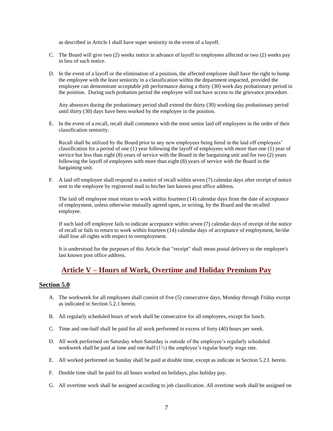as described in Article I shall have super seniority in the event of a layoff.

- C. The Board will give two (2) weeks notice in advance of layoff to employees affected or two (2) weeks pay in lieu of such notice.
- D. In the event of a layoff or the elimination of a position, the affected employee shall have the right to bump the employee with the least seniority in a classification within the department impacted, provided the employee can demonstrate acceptable job performance during a thirty (30) work day probationary period in the position. During such probation period the employee will not have access to the grievance procedure.

Any absences during the probationary period shall extend the thirty (30) working day probationary period until thirty (30) days have been worked by the employee in the position.

E. In the event of a recall, recall shall commence with the most senior laid off employees in the order of their classification seniority.

Recall shall be utilized by the Board prior to any new employees being hired in the laid off employees' classification for a period of one (1) year following the layoff of employees with more than one (1) year of service but less than eight (8) years of service with the Board in the bargaining unit and for two (2) years following the layoff of employees with more than eight (8) years of service with the Board in the bargaining unit.

F. A laid off employee shall respond to a notice of recall within seven (7) calendar days after receipt of notice sent to the employee by registered mail to his/her last known post office address.

The laid off employee must return to work within fourteen (14) calendar days from the date of acceptance of employment, unless otherwise mutually agreed upon, in writing, by the Board and the recalled employee.

If such laid off employee fails to indicate acceptance within seven (7) calendar days of receipt of the notice of recall or fails to return to work within fourteen (14) calendar days of acceptance of employment, he/she shall lose all rights with respect to reemployment.

It is understood for the purposes of this Article that "receipt" shall mean postal delivery to the employee's last known post office address.

## **Article V – Hours of Work, Overtime and Holiday Premium Pay**

### <span id="page-6-0"></span>**Section 5.0**

- A. The workweek for all employees shall consist of five (5) consecutive days, Monday through Friday except as indicated in Section 5.2.1 herein.
- B. All regularly scheduled hours of work shall be consecutive for all employees, except for lunch.
- C. Time and one-half shall be paid for all work performed in excess of forty (40) hours per week.
- D. All work performed on Saturday when Saturday is outside of the employee's regularly scheduled workweek shall be paid at time and one-half (1½) the employee's regular hourly wage rate.
- E. All worked performed on Sunday shall be paid at double time, except as indicate in Section 5.2.I. herein.
- F. Double time shall be paid for all hours worked on holidays, plus holiday pay.
- G. All overtime work shall be assigned according to job classification. All overtime work shall be assigned on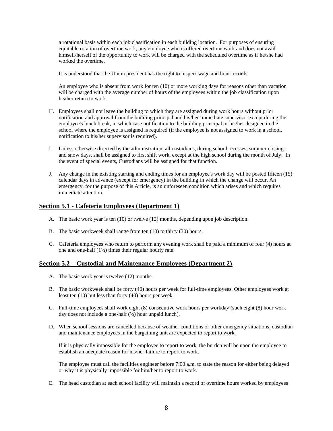a rotational basis within each job classification in each building location. For purposes of ensuring equitable rotation of overtime work, any employee who is offered overtime work and does not avail himself/herself of the opportunity to work will be charged with the scheduled overtime as if he/she had worked the overtime.

It is understood that the Union president has the right to inspect wage and hour records.

An employee who is absent from work for ten (10) or more working days for reasons other than vacation will be charged with the average number of hours of the employees within the job classification upon his/her return to work.

- H. Employees shall not leave the building to which they are assigned during work hours without prior notification and approval from the building principal and his/her immediate supervisor except during the employee's lunch break, in which case notification to the building principal or his/her designee in the school where the employee is assigned is required (if the employee is not assigned to work in a school, notification to his/her supervisor is required).
- I. Unless otherwise directed by the administration, all custodians, during school recesses, summer closings and snow days, shall be assigned to first shift work, except at the high school during the month of July. In the event of special events, Custodians will be assigned for that function.
- J. Any change in the existing starting and ending times for an employee's work day will be posted fifteen (15) calendar days in advance (except for emergency) in the building in which the change will occur. An emergency, for the purpose of this Article, is an unforeseen condition which arises and which requires immediate attention.

### **Section 5.1 - Cafeteria Employees (Department 1)**

- A. The basic work year is ten (10) or twelve (12) months, depending upon job description.
- B. The basic workweek shall range from ten (10) to thirty (30) hours.
- C. Cafeteria employees who return to perform any evening work shall be paid a minimum of four (4) hours at one and one-half (1½) times their regular hourly rate.

### **Section 5.2 – Custodial and Maintenance Employees (Department 2)**

- A. The basic work year is twelve (12) months.
- B. The basic workweek shall be forty (40) hours per week for full-time employees. Other employees work at least ten (10) but less than forty (40) hours per week.
- C. Full-time employees shall work eight (8) consecutive work hours per workday (such eight (8) hour work day does not include a one-half  $(\frac{1}{2})$  hour unpaid lunch).
- D. When school sessions are cancelled because of weather conditions or other emergency situations, custodian and maintenance employees in the bargaining unit are expected to report to work.

If it is physically impossible for the employee to report to work, the burden will be upon the employee to establish an adequate reason for his/her failure to report to work.

The employee must call the facilities engineer before 7:00 a.m. to state the reason for either being delayed or why it is physically impossible for him/her to report to work.

E. The head custodian at each school facility will maintain a record of overtime hours worked by employees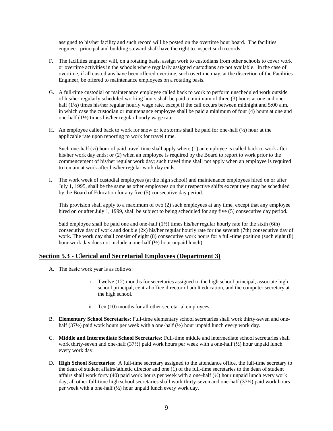assigned to his/her facility and such record will be posted on the overtime hour board. The facilities engineer, principal and building steward shall have the right to inspect such records.

- F. The facilities engineer will, on a rotating basis, assign work to custodians from other schools to cover work or overtime activities in the schools where regularly assigned custodians are not available. In the case of overtime, if all custodians have been offered overtime, such overtime may, at the discretion of the Facilities Engineer, be offered to maintenance employees on a rotating basis.
- G. A full-time custodial or maintenance employee called back to work to perform unscheduled work outside of his/her regularly scheduled working hours shall be paid a minimum of three (3) hours at one and onehalf (1½) times his/her regular hourly wage rate, except if the call occurs between midnight and 5:00 a.m. in which case the custodian or maintenance employee shall be paid a minimum of four (4) hours at one and one-half (1½) times his/her regular hourly wage rate.
- H. An employee called back to work for snow or ice storms shall be paid for one-half  $(\frac{1}{2})$  hour at the applicable rate upon reporting to work for travel time.

Such one-half (1/2) hour of paid travel time shall apply when: (1) an employee is called back to work after his/her work day ends; or (2) when an employee is required by the Board to report to work prior to the commencement of his/her regular work day; such travel time shall not apply when an employee is required to remain at work after his/her regular work day ends.

I. The work week of custodial employees (at the high school) and maintenance employees hired on or after July 1, 1995, shall be the same as other employees on their respective shifts except they may be scheduled by the Board of Education for any five (5) consecutive day period.

This provision shall apply to a maximum of two (2) such employees at any time, except that any employee hired on or after July 1, 1999, shall be subject to being scheduled for any five (5) consecutive day period.

Said employee shall be paid one and one-half  $(1\frac{1}{2})$  times his/her regular hourly rate for the sixth (6th) consecutive day of work and double (2x) his/her regular hourly rate for the seventh (7th) consecutive day of work. The work day shall consist of eight (8) consecutive work hours for a full-time position (such eight (8) hour work day does not include a one-half (½) hour unpaid lunch).

#### **Section 5.3 - Clerical and Secretarial Employees (Department 3)**

- A. The basic work year is as follows:
	- i. Twelve (12) months for secretaries assigned to the high school principal, associate high school principal, central office director of adult education, and the computer secretary at the high school.
	- ii. Ten (10) months for all other secretarial employees.
- B. **Elementary School Secretaries**: Full-time elementary school secretaries shall work thirty-seven and onehalf (37½) paid work hours per week with a one-half (½) hour unpaid lunch every work day.
- C. **Middle and Intermediate School Secretaries:** Full-time middle and intermediate school secretaries shall work thirty-seven and one-half  $(37/2)$  paid work hours per week with a one-half  $(1/2)$  hour unpaid lunch every work day.
- D. **High School Secretaries**: A full-time secretary assigned to the attendance office, the full-time secretary to the dean of student affairs/athletic director and one (1) of the full-time secretaries to the dean of student affairs shall work forty (40) paid work hours per week with a one-half  $\left(\frac{1}{2}\right)$  hour unpaid lunch every work day; all other full-time high school secretaries shall work thirty-seven and one-half (37½) paid work hours per week with a one-half (½) hour unpaid lunch every work day.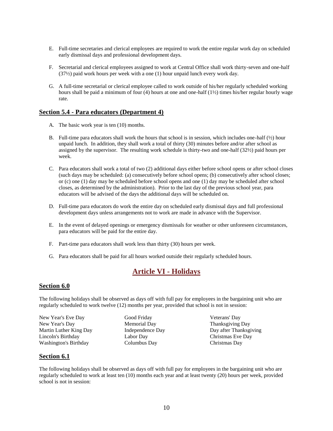- E. Full-time secretaries and clerical employees are required to work the entire regular work day on scheduled early dismissal days and professional development days.
- F. Secretarial and clerical employees assigned to work at Central Office shall work thirty-seven and one-half (37½) paid work hours per week with a one (1) hour unpaid lunch every work day.
- G. A full-time secretarial or clerical employee called to work outside of his/her regularly scheduled working hours shall be paid a minimum of four (4) hours at one and one-half (1<sup>1</sup>/<sub>2</sub>) times his/her regular hourly wage rate.

### **Section 5.4 - Para educators (Department 4)**

- A. The basic work year is ten (10) months.
- B. Full-time para educators shall work the hours that school is in session, which includes one-half (½) hour unpaid lunch. In addition, they shall work a total of thirty (30) minutes before and/or after school as assigned by the supervisor. The resulting work schedule is thirty-two and one-half (32½) paid hours per week.
- C. Para educators shall work a total of two (2) additional days either before school opens or after school closes (such days may be scheduled: (a) consecutively before school opens; (b) consecutively after school closes; or (c) one (1) day may be scheduled before school opens and one (1) day may be scheduled after school closes, as determined by the administration). Prior to the last day of the previous school year, para educators will be advised of the days the additional days will be scheduled on.
- D. Full-time para educators do work the entire day on scheduled early dismissal days and full professional development days unless arrangements not to work are made in advance with the Supervisor.
- E. In the event of delayed openings or emergency dismissals for weather or other unforeseen circumstances, para educators will be paid for the entire day.
- F. Part-time para educators shall work less than thirty (30) hours per week.
- <span id="page-9-0"></span>G. Para educators shall be paid for all hours worked outside their regularly scheduled hours.

## **Article VI - Holidays**

### **Section 6.0**

The following holidays shall be observed as days off with full pay for employees in the bargaining unit who are regularly scheduled to work twelve (12) months per year, provided that school is not in session:

New Year's Eve Day New Year's Day Martin Luther King Day Lincoln's Birthday Washington's Birthday

Good Friday Memorial Day Independence Day Labor Day Columbus Day

Veterans' Day Thanksgiving Day Day after Thanksgiving Christmas Eve Day Christmas Day

### **Section 6.1**

The following holidays shall be observed as days off with full pay for employees in the bargaining unit who are regularly scheduled to work at least ten (10) months each year and at least twenty (20) hours per week, provided school is not in session: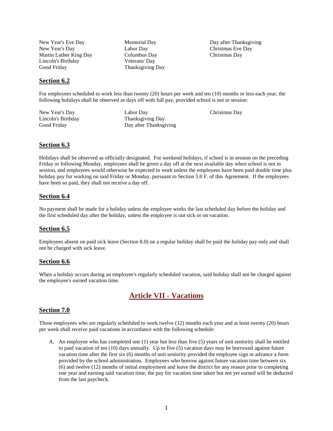New Year's Eve Day New Year's Day Martin Luther King Day Lincoln's Birthday Good Friday

Memorial Day Labor Day Columbus Day Veterans' Day Thanksgiving Day Day after Thanksgiving Christmas Eve Day Christmas Day

### **Section 6.2**

For employees scheduled to work less than twenty (20) hours per week and ten (10) months or less each year, the following holidays shall be observed as days off with full pay, provided school is not in session:

New Year's Day Lincoln's Birthday Good Friday

Labor Day Thanksgiving Day Day after Thanksgiving Christmas Day

### **Section 6.3**

Holidays shall be observed as officially designated. For weekend holidays, if school is in session on the preceding Friday or following Monday, employees shall be given a day off at the next available day when school is not in session, and employees would otherwise be expected to work unless the employees have been paid double time plus holiday pay for working on said Friday or Monday, pursuant to Section 5.0 F. of this Agreement. If the employees have been so paid, they shall not receive a day off.

### **Section 6.4**

No payment shall be made for a holiday unless the employee works the last scheduled day before the holiday and the first scheduled day after the holiday, unless the employee is out sick or on vacation.

### **Section 6.5**

Employees absent on paid sick leave (Section 8.0) on a regular holiday shall be paid the holiday pay only and shall not be charged with sick leave.

### **Section 6.6**

When a holiday occurs during an employee's regularly scheduled vacation, said holiday shall not be charged against the employee's earned vacation time.

## **Article VII - Vacations**

### <span id="page-10-0"></span>**Section 7.0**

Those employees who are regularly scheduled to work twelve (12) months each year and at least twenty (20) hours per week shall receive paid vacations in accordance with the following schedule:

A. An employee who has completed one (1) year but less than five (5) years of unit seniority shall be entitled to paid vacation of ten (10) days annually. Up to five (5) vacation days may be borrowed against future vacation time after the first six (6) months of unit seniority provided the employee sign in advance a form provided by the school administration. Employees who borrow against future vacation time between six (6) and twelve (12) months of initial employment and leave the district for any reason prior to completing one year and earning said vacation time, the pay for vacation time taken but not yet earned will be deducted from the last paycheck.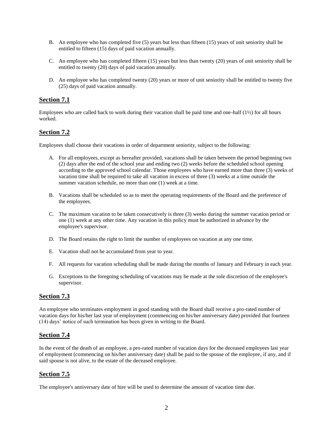- B. An employee who has completed five (5) years but less than fifteen (15) years of unit seniority shall be entitled to fifteen (15) days of paid vacation annually.
- C. An employee who has completed fifteen (15) years but less than twenty (20) years of unit seniority shall be entitled to twenty (20) days of paid vacation annually.
- D. An employee who has completed twenty (20) years or more of unit seniority shall be entitled to twenty five (25) days of paid vacation annually.

### **Section 7.1**

Employees who are called back to work during their vacation shall be paid time and one-half  $(1\frac{1}{2})$  for all hours worked.

### **Section 7.2**

Employees shall choose their vacations in order of department seniority, subject to the following:

- A. For all employees, except as hereafter provided, vacations shall be taken between the period beginning two (2) days after the end of the school year and ending two (2) weeks before the scheduled school opening according to the approved school calendar. Those employees who have earned more than three (3) weeks of vacation time shall be required to take all vacation in excess of three (3) weeks at a time outside the summer vacation schedule, no more than one  $(1)$  week at a time.
- B. Vacations shall be scheduled so as to meet the operating requirements of the Board and the preference of the employees.
- C. The maximum vacation to be taken consecutively is three (3) weeks during the summer vacation period or one (1) week at any other time. Any vacation in this policy must be authorized in advance by the employee's supervisor.
- D. The Board retains the right to limit the number of employees on vacation at any one time.
- E. Vacation shall not be accumulated from year to year.
- F. All requests for vacation scheduling shall be made during the months of January and February in each year.
- G. Exceptions to the foregoing scheduling of vacations may be made at the sole discretion of the employee's supervisor.

### **Section 7.3**

An employee who terminates employment in good standing with the Board shall receive a pro-rated number of vacation days for his/her last year of employment (commencing on his/her anniversary date) provided that fourteen (14) days' notice of such termination has been given in writing to the Board.

### **Section 7.4**

In the event of the death of an employee, a pro-rated number of vacation days for the deceased employees last year of employment (commencing on his/her anniversary date) shall be paid to the spouse of the employee, if any, and if said spouse is not alive, to the estate of the deceased employee.

### **Section 7.5**

The employee's anniversary date of hire will be used to determine the amount of vacation time due.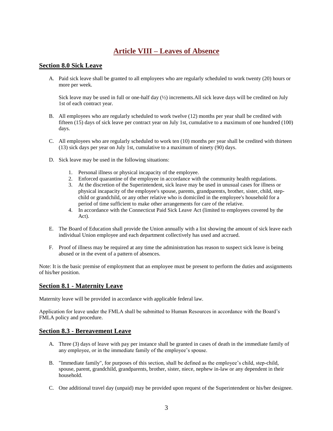## **Article VIII – Leaves of Absence**

### <span id="page-12-0"></span>**Section 8.0 Sick Leave**

A. Paid sick leave shall be granted to all employees who are regularly scheduled to work twenty (20) hours or more per week.

Sick leave may be used in full or one-half day  $(\frac{1}{2})$  increments. All sick leave days will be credited on July 1st of each contract year.

- B. All employees who are regularly scheduled to work twelve (12) months per year shall be credited with fifteen (15) days of sick leave per contract year on July 1st, cumulative to a maximum of one hundred (100) days.
- C. All employees who are regularly scheduled to work ten (10) months per year shall be credited with thirteen (13) sick days per year on July 1st, cumulative to a maximum of ninety (90) days.
- D. Sick leave may be used in the following situations:
	- 1. Personal illness or physical incapacity of the employee.
	- 2. Enforced quarantine of the employee in accordance with the community health regulations.
	- 3. At the discretion of the Superintendent, sick leave may be used in unusual cases for illness or physical incapacity of the employee's spouse, parents, grandparents, brother, sister, child, stepchild or grandchild, or any other relative who is domiciled in the employee's household for a period of time sufficient to make other arrangements for care of the relative.
	- 4. In accordance with the Connecticut Paid Sick Leave Act (limited to employees covered by the Act).
- E. The Board of Education shall provide the Union annually with a list showing the amount of sick leave each individual Union employee and each department collectively has used and accrued.
- F. Proof of illness may be required at any time the administration has reason to suspect sick leave is being abused or in the event of a pattern of absences.

Note: It is the basic premise of employment that an employee must be present to perform the duties and assignments of his/her position.

### **Section 8.1 - Maternity Leave**

Maternity leave will be provided in accordance with applicable federal law.

Application for leave under the FMLA shall be submitted to Human Resources in accordance with the Board's FMLA policy and procedure.

### **Section 8.3 - Bereavement Leave**

- A. Three (3) days of leave with pay per instance shall be granted in cases of death in the immediate family of any employee, or in the immediate family of the employee's spouse.
- B. "Immediate family", for purposes of this section, shall be defined as the employee's child, step-child, spouse, parent, grandchild, grandparents, brother, sister, niece, nephew in-law or any dependent in their household.
- C. One additional travel day (unpaid) may be provided upon request of the Superintendent or his/her designee.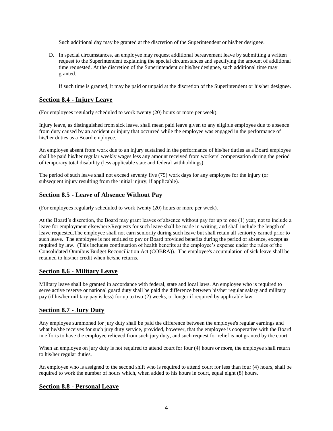Such additional day may be granted at the discretion of the Superintendent or his/her designee.

D. In special circumstances, an employee may request additional bereavement leave by submitting a written request to the Superintendent explaining the special circumstances and specifying the amount of additional time requested. At the discretion of the Superintendent or his/her designee, such additional time may granted.

If such time is granted, it may be paid or unpaid at the discretion of the Superintendent or his/her designee.

### **Section 8.4 - Injury Leave**

(For employees regularly scheduled to work twenty (20) hours or more per week).

Injury leave, as distinguished from sick leave, shall mean paid leave given to any eligible employee due to absence from duty caused by an accident or injury that occurred while the employee was engaged in the performance of his/her duties as a Board employee.

An employee absent from work due to an injury sustained in the performance of his/her duties as a Board employee shall be paid his/her regular weekly wages less any amount received from workers' compensation during the period of temporary total disability (less applicable state and federal withholdings).

The period of such leave shall not exceed seventy five (75) work days for any employee for the injury (or subsequent injury resulting from the initial injury, if applicable).

### **Section 8.5 - Leave of Absence Without Pay**

(For employees regularly scheduled to work twenty (20) hours or more per week).

At the Board's discretion, the Board may grant leaves of absence without pay for up to one (1) year, not to include a leave for employment elsewhere.Requests for such leave shall be made in writing, and shall include the length of leave requested.The employee shall not earn seniority during such leave but shall retain all seniority earned prior to such leave. The employee is not entitled to pay or Board provided benefits during the period of absence, except as required by law. (This includes continuation of health benefits at the employee's expense under the rules of the Consolidated Omnibus Budget Reconciliation Act (COBRA)). The employee's accumulation of sick leave shall be retained to his/her credit when he/she returns.

### **Section 8.6 - Military Leave**

Military leave shall be granted in accordance with federal, state and local laws. An employee who is required to serve active reserve or national guard duty shall be paid the difference between his/her regular salary and military pay (if his/her military pay is less) for up to two (2) weeks, or longer if required by applicable law.

### **Section 8.7 - Jury Duty**

Any employee summoned for jury duty shall be paid the difference between the employee's regular earnings and what he/she receives for such jury duty service, provided, however, that the employee is cooperative with the Board in efforts to have the employee relieved from such jury duty, and such request for relief is not granted by the court.

When an employee on jury duty is not required to attend court for four (4) hours or more, the employee shall return to his/her regular duties.

An employee who is assigned to the second shift who is required to attend court for less than four (4) hours, shall be required to work the number of hours which, when added to his hours in court, equal eight (8) hours.

### **Section 8.8 - Personal Leave**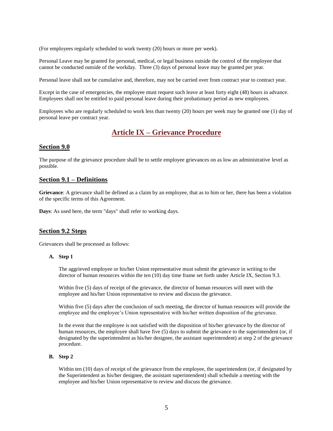(For employees regularly scheduled to work twenty (20) hours or more per week).

Personal Leave may be granted for personal, medical, or legal business outside the control of the employee that cannot be conducted outside of the workday. Three (3) days of personal leave may be granted per year.

Personal leave shall not be cumulative and, therefore, may not be carried over from contract year to contract year.

Except in the case of emergencies, the employee must request such leave at least forty eight (48) hours in advance. Employees shall not be entitled to paid personal leave during their probationary period as new employees.

Employees who are regularly scheduled to work less than twenty (20) hours per week may be granted one (1) day of personal leave per contract year.

### **Article IX – Grievance Procedure**

#### <span id="page-14-0"></span>**Section 9.0**

The purpose of the grievance procedure shall be to settle employee grievances on as low an administrative level as possible.

#### **Section 9.1 – Definitions**

**Grievance**: A grievance shall be defined as a claim by an employee, that as to him or her, there has been a violation of the specific terms of this Agreement.

**Days**: As used here, the term "days" shall refer to working days.

#### **Section 9.2 Steps**

Grievances shall be processed as follows:

#### **A. Step 1**

The aggrieved employee or his/her Union representative must submit the grievance in writing to the director of human resources within the ten (10) day time frame set forth under Article IX, Section 9.3.

Within five (5) days of receipt of the grievance, the director of human resources will meet with the employee and his/her Union representative to review and discuss the grievance.

Within five (5) days after the conclusion of such meeting, the director of human resources will provide the employee and the employee's Union representative with his/her written disposition of the grievance.

In the event that the employee is not satisfied with the disposition of his/her grievance by the director of human resources, the employee shall have five (5) days to submit the grievance to the superintendent (or, if designated by the superintendent as his/her designee, the assistant superintendent) at step 2 of the grievance procedure.

#### **B. Step 2**

Within ten (10) days of receipt of the grievance from the employee, the superintendent (or, if designated by the Superintendent as his/her designee, the assistant superintendent) shall schedule a meeting with the employee and his/her Union representative to review and discuss the grievance.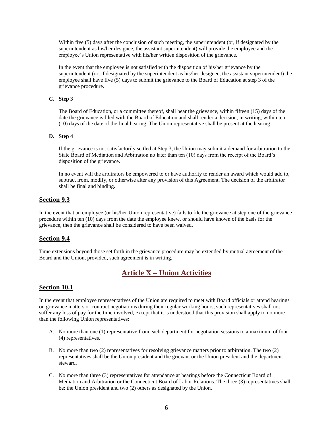Within five (5) days after the conclusion of such meeting, the superintendent (or, if designated by the superintendent as his/her designee, the assistant superintendent) will provide the employee and the employee's Union representative with his/her written disposition of the grievance.

In the event that the employee is not satisfied with the disposition of his/her grievance by the superintendent (or, if designated by the superintendent as his/her designee, the assistant superintendent) the employee shall have five (5) days to submit the grievance to the Board of Education at step 3 of the grievance procedure.

#### **C. Step 3**

The Board of Education, or a committee thereof, shall hear the grievance, within fifteen (15) days of the date the grievance is filed with the Board of Education and shall render a decision, in writing, within ten (10) days of the date of the final hearing. The Union representative shall be present at the hearing.

#### **D. Step 4**

If the grievance is not satisfactorily settled at Step 3, the Union may submit a demand for arbitration to the State Board of Mediation and Arbitration no later than ten (10) days from the receipt of the Board's disposition of the grievance.

In no event will the arbitrators be empowered to or have authority to render an award which would add to, subtract from, modify, or otherwise alter any provision of this Agreement. The decision of the arbitrator shall be final and binding.

### **Section 9.3**

In the event that an employee (or his/her Union representative) fails to file the grievance at step one of the grievance procedure within ten (10) days from the date the employee knew, or should have known of the basis for the grievance, then the grievance shall be considered to have been waived.

### **Section 9.4**

Time extensions beyond those set forth in the grievance procedure may be extended by mutual agreement of the Board and the Union, provided, such agreement is in writing.

## **Article X – Union Activities**

### <span id="page-15-0"></span>**Section 10.1**

In the event that employee representatives of the Union are required to meet with Board officials or attend hearings on grievance matters or contract negotiations during their regular working hours, such representatives shall not suffer any loss of pay for the time involved, except that it is understood that this provision shall apply to no more than the following Union representatives:

- A. No more than one (1) representative from each department for negotiation sessions to a maximum of four (4) representatives.
- B. No more than two (2) representatives for resolving grievance matters prior to arbitration. The two (2) representatives shall be the Union president and the grievant or the Union president and the department steward.
- C. No more than three (3) representatives for attendance at hearings before the Connecticut Board of Mediation and Arbitration or the Connecticut Board of Labor Relations. The three (3) representatives shall be: the Union president and two (2) others as designated by the Union.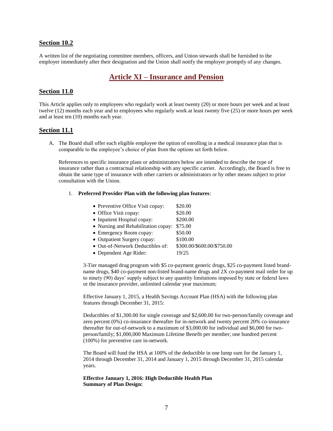### **Section 10.2**

A written list of the negotiating committee members, officers, and Union stewards shall be furnished to the employer immediately after their designation and the Union shall notify the employer promptly of any changes.

## **Article XI – Insurance and Pension**

#### <span id="page-16-0"></span>**Section 11.0**

This Article applies only to employees who regularly work at least twenty (20) or more hours per week and at least twelve (12) months each year and to employees who regularly work at least twenty five (25) or more hours per week and at least ten (10) months each year.

#### **Section 11.1**

A. The Board shall offer each eligible employee the option of enrolling in a medical insurance plan that is comparable to the employee's choice of plan from the options set forth below.

References to specific insurance plans or administrators below are intended to describe the type of insurance rather than a contractual relationship with any specific carrier. Accordingly, the Board is free to obtain the same type of insurance with other carriers or administrators or by other means subject to prior consultation with the Union.

#### 1. **Preferred Provider Plan with the following plan features**:

| • Preventive Office Visit copay:    | \$20.00                    |
|-------------------------------------|----------------------------|
| • Office Visit copay:               | \$20.00                    |
| • Inpatient Hospital copay:         | \$200.00                   |
| • Nursing and Rehabilitation copay: | \$75.00                    |
| • Emergency Room copay:             | \$50.00                    |
| • Outpatient Surgery copay:         | \$100.00                   |
| • Out-of-Network Deductibles of:    | \$300.00/\$600.00/\$750.00 |
| • Dependent Age Rider:              | 19/25                      |
|                                     |                            |

3-Tier managed drug program with \$5 co-payment generic drugs, \$25 co-payment listed brandname drugs, \$40 co-payment non-listed brand-name drugs and 2X co-payment mail order for up to ninety (90) days' supply subject to any quantity limitations imposed by state or federal laws or the insurance provider, unlimited calendar year maximum;

Effective January 1, 2015, a Health Savings Account Plan (HSA) with the following plan features through December 31, 2015:

Deductibles of \$1,300.00 for single coverage and \$2,600.00 for two-person/family coverage and zero percent (0%) co-insurance thereafter for in-network and twenty percent 20% co-insurance thereafter for out-of-network to a maximum of \$3,000.00 for individual and \$6,000 for twoperson/family; \$1,000,000 Maximum Lifetime Benefit per member; one hundred percent (100%) for preventive care in-network.

The Board will fund the HSA at 100% of the deductible in one lump sum for the January 1, 2014 through December 31, 2014 and January 1, 2015 through December 31, 2015 calendar years.

#### **Effective January 1, 2016: High Deductible Health Plan Summary of Plan Design:**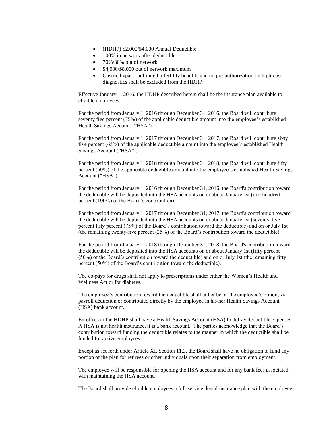- (HDHP) \$2,000/\$4,000 Annual Deductible
- 100% in network after deductible
- $\bullet$  70%/30% out of network
- \$4,000/\$8,000 out of network maximum
- Gastric bypass, unlimited infertility benefits and no pre-authorization on high-cost diagnostics shall be excluded from the HDHP.

Effective January 1, 2016, the HDHP described herein shall be the insurance plan available to eligible employees.

For the period from January 1, 2016 through December 31, 2016, the Board will contribute seventy five percent (75%) of the applicable deductible amount into the employee's established Health Savings Account ("HSA").

For the period from January 1, 2017 through December 31, 2017, the Board will contribute sixty five percent (65%) of the applicable deductible amount into the employee's established Health Savings Account ("HSA").

For the period from January 1, 2018 through December 31, 2018, the Board will contribute fifty percent (50%) of the applicable deductible amount into the employee's established Health Savings Account ("HSA").

For the period from January 1, 2016 through December 31, 2016, the Board's contribution toward the deductible will be deposited into the HSA accounts on or about January 1st (one hundred percent (100%) of the Board's contribution).

For the period from January 1, 2017 through December 31, 2017, the Board's contribution toward the deductible will be deposited into the HSA accounts on or about January 1st (seventy-five percent fifty percent (75%) of the Board's contribution toward the deductible) and on or July 1st (the remaining twenty-five percent (25%) of the Board's contribution toward the deductible).

For the period from January 1, 2018 through December 31, 2018, the Board's contribution toward the deductible will be deposited into the HSA accounts on or about January 1st (fifty percent (50%) of the Board's contribution toward the deductible) and on or July 1st (the remaining fifty percent (50%) of the Board's contribution toward the deductible).

The co-pays for drugs shall not apply to prescriptions under either the Women's Health and Wellness Act or for diabetes.

The employee's contribution toward the deductible shall either be, at the employee's option, via payroll deduction or contributed directly by the employee in his/her Health Savings Account (HSA) bank account.

Enrollees in the HDHP shall have a Health Savings Account (HSA) to defray deductible expenses. A HSA is not health insurance, it is a bank account. The parties acknowledge that the Board's contribution toward funding the deductible relates to the manner in which the deductible shall be funded for active employees.

Except as set forth under Article XI, Section 11.3, the Board shall have no obligation to fund any portion of the plan for retirees or other individuals upon their separation from employment.

The employee will be responsible for opening the HSA account and for any bank fees associated with maintaining the HSA account.

The Board shall provide eligible employees a full-service dental insurance plan with the employee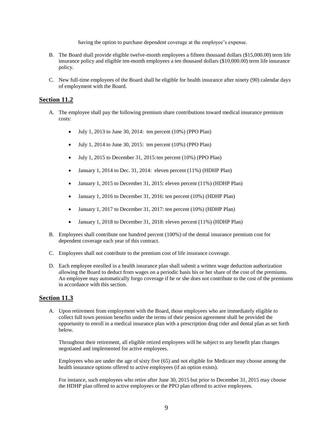having the option to purchase dependent coverage at the employee's expense.

- B. The Board shall provide eligible twelve-month employees a fifteen thousand dollars (\$15,000.00) term life insurance policy and eligible ten-month employees a ten thousand dollars (\$10,000.00) term life insurance policy.
- C. New full-time employees of the Board shall be eligible for health insurance after ninety (90) calendar days of employment with the Board.

### **Section 11.2**

- A. The employee shall pay the following premium share contributions toward medical insurance premium costs:
	- $\bullet$  July 1, 2013 to June 30, 2014: ten percent (10%) (PPO Plan)
	- $\bullet$  July 1, 2014 to June 30, 2015: ten percent (10%) (PPO Plan)
	- $\bullet$  July 1, 2015 to December 31, 2015: ten percent (10%) (PPO Plan)
	- January 1, 2014 to Dec. 31, 2014: eleven percent (11%) (HDHP Plan)
	- January 1, 2015 to December 31, 2015: eleven percent (11%) (HDHP Plan)
	- January 1, 2016 to December 31, 2016: ten percent  $(10%)$  (HDHP Plan)
	- January 1, 2017 to December 31, 2017: ten percent (10%) (HDHP Plan)
	- January 1, 2018 to December 31, 2018: eleven percent  $(11\%)$  (HDHP Plan)
- B. Employees shall contribute one hundred percent (100%) of the dental insurance premium cost for dependent coverage each year of this contract.
- C. Employees shall not contribute to the premium cost of life insurance coverage.
- D. Each employee enrolled in a health insurance plan shall submit a written wage deduction authorization allowing the Board to deduct from wages on a periodic basis his or her share of the cost of the premiums. An employee may automatically forgo coverage if he or she does not contribute to the cost of the premiums in accordance with this section.

#### **Section 11.3**

A. Upon retirement from employment with the Board, those employees who are immediately eligible to collect full town pension benefits under the terms of their pension agreement shall be provided the opportunity to enroll in a medical insurance plan with a prescription drug rider and dental plan as set forth below.

Throughout their retirement, all eligible retired employees will be subject to any benefit plan changes negotiated and implemented for active employees.

Employees who are under the age of sixty five (65) and not eligible for Medicare may choose among the health insurance options offered to active employees (if an option exists).

For instance, such employees who retire after June 30, 2015 but prior to December 31, 2015 may choose the HDHP plan offered to active employees or the PPO plan offered to active employees.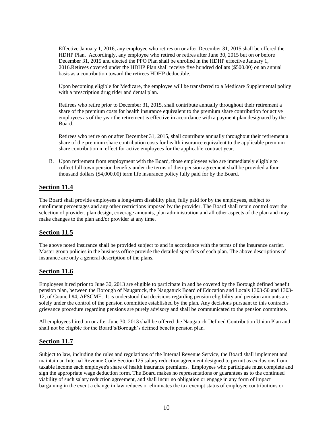Effective January 1, 2016, any employee who retires on or after December 31, 2015 shall be offered the HDHP Plan. Accordingly, any employee who retired or retires after June 30, 2015 but on or before December 31, 2015 and elected the PPO Plan shall be enrolled in the HDHP effective January 1, 2016.Retirees covered under the HDHP Plan shall receive five hundred dollars (\$500.00) on an annual basis as a contribution toward the retirees HDHP deductible.

Upon becoming eligible for Medicare, the employee will be transferred to a Medicare Supplemental policy with a prescription drug rider and dental plan.

Retirees who retire prior to December 31, 2015, shall contribute annually throughout their retirement a share of the premium costs for health insurance equivalent to the premium share contribution for active employees as of the year the retirement is effective in accordance with a payment plan designated by the Board.

Retirees who retire on or after December 31, 2015, shall contribute annually throughout their retirement a share of the premium share contribution costs for health insurance equivalent to the applicable premium share contribution in effect for active employees for the applicable contract year.

B. Upon retirement from employment with the Board, those employees who are immediately eligible to collect full town pension benefits under the terms of their pension agreement shall be provided a four thousand dollars (\$4,000.00) term life insurance policy fully paid for by the Board.

### **Section 11.4**

The Board shall provide employees a long-term disability plan, fully paid for by the employees, subject to enrollment percentages and any other restrictions imposed by the provider. The Board shall retain control over the selection of provider, plan design, coverage amounts, plan administration and all other aspects of the plan and may make changes to the plan and/or provider at any time.

### **Section 11.5**

The above noted insurance shall be provided subject to and in accordance with the terms of the insurance carrier. Master group policies in the business office provide the detailed specifics of each plan. The above descriptions of insurance are only a general description of the plans.

### **Section 11.6**

Employees hired prior to June 30, 2013 are eligible to participate in and be covered by the Borough defined benefit pension plan, between the Borough of Naugatuck, the Naugatuck Board of Education and Locals 1303-50 and 1303- 12, of Council #4, AFSCME. It is understood that decisions regarding pension eligibility and pension amounts are solely under the control of the pension committee established by the plan. Any decisions pursuant to this contract's grievance procedure regarding pensions are purely advisory and shall be communicated to the pension committee.

All employees hired on or after June 30, 2013 shall be offered the Naugatuck Defined Contribution Union Plan and shall not be eligible for the Board's/Borough's defined benefit pension plan.

### **Section 11.7**

Subject to law, including the rules and regulations of the Internal Revenue Service, the Board shall implement and maintain an Internal Revenue Code Section 125 salary reduction agreement designed to permit as exclusions from taxable income each employee's share of health insurance premiums. Employees who participate must complete and sign the appropriate wage deduction form. The Board makes no representations or guarantees as to the continued viability of such salary reduction agreement, and shall incur no obligation or engage in any form of impact bargaining in the event a change in law reduces or eliminates the tax exempt status of employee contributions or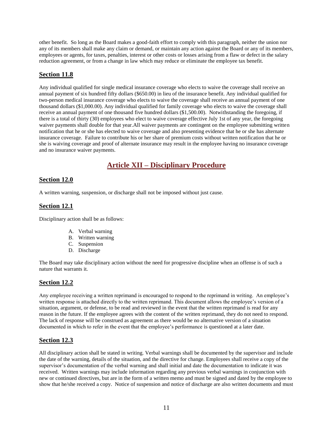other benefit. So long as the Board makes a good-faith effort to comply with this paragraph, neither the union nor any of its members shall make any claim or demand, or maintain any action against the Board or any of its members, employees or agents, for taxes, penalties, interest or other costs or losses arising from a flaw or defect in the salary reduction agreement, or from a change in law which may reduce or eliminate the employee tax benefit.

### **Section 11.8**

Any individual qualified for single medical insurance coverage who elects to waive the coverage shall receive an annual payment of six hundred fifty dollars (\$650.00) in lieu of the insurance benefit. Any individual qualified for two-person medical insurance coverage who elects to waive the coverage shall receive an annual payment of one thousand dollars (\$1,000.00). Any individual qualified for family coverage who elects to waive the coverage shall receive an annual payment of one thousand five hundred dollars (\$1,500.00). Notwithstanding the foregoing, if there is a total of thirty (30) employees who elect to waive coverage effective July 1st of any year, the foregoing waiver payments shall double for that year.All waiver payments are contingent on the employee submitting written notification that he or she has elected to waive coverage and also presenting evidence that he or she has alternate insurance coverage. Failure to contribute his or her share of premium costs without written notification that he or she is waiving coverage and proof of alternate insurance may result in the employee having no insurance coverage and no insurance waiver payments.

## **Article XII – Disciplinary Procedure**

### <span id="page-20-0"></span>**Section 12.0**

A written warning, suspension, or discharge shall not be imposed without just cause.

### **Section 12.1**

Disciplinary action shall be as follows:

- A. Verbal warning
- B. Written warning
- C. Suspension
- D. Discharge

The Board may take disciplinary action without the need for progressive discipline when an offense is of such a nature that warrants it.

### **Section 12.2**

Any employee receiving a written reprimand is encouraged to respond to the reprimand in writing. An employee's written response is attached directly to the written reprimand. This document allows the employee's version of a situation, argument, or defense, to be read and reviewed in the event that the written reprimand is read for any reason in the future. If the employee agrees with the content of the written reprimand, they do not need to respond. The lack of response will be construed as agreement as there would be no alternative version of a situation documented in which to refer in the event that the employee's performance is questioned at a later date.

### **Section 12.3**

All disciplinary action shall be stated in writing. Verbal warnings shall be documented by the supervisor and include the date of the warning, details of the situation, and the directive for change. Employees shall receive a copy of the supervisor's documentation of the verbal warning and shall initial and date the documentation to indicate it was received. Written warnings may include information regarding any previous verbal warnings in conjunction with new or continued directives, but are in the form of a written memo and must be signed and dated by the employee to show that he/she received a copy. Notice of suspension and notice of discharge are also written documents and must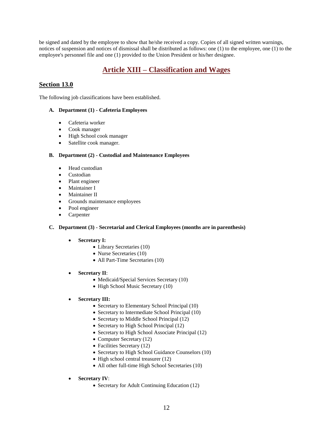be signed and dated by the employee to show that he/she received a copy. Copies of all signed written warnings, notices of suspension and notices of dismissal shall be distributed as follows: one (1) to the employee, one (1) to the employee's personnel file and one (1) provided to the Union President or his/her designee.

## **Article XIII – Classification and Wages**

### <span id="page-21-0"></span>**Section 13.0**

The following job classifications have been established.

### **A. Department (1) - Cafeteria Employees**

- Cafeteria worker
- Cook manager
- High School cook manager
- Satellite cook manager.

#### **B. Department (2) - Custodial and Maintenance Employees**

- Head custodian
- Custodian
- Plant engineer
- Maintainer I
- Maintainer II
- Grounds maintenance employees
- Pool engineer
- Carpenter

#### **C. Department (3) - Secretarial and Clerical Employees (months are in parenthesis)**

- **Secretary I:**
	- Library Secretaries (10)
	- Nurse Secretaries (10)
	- All Part-Time Secretaries (10)
- **Secretary II**:
	- Medicaid/Special Services Secretary (10)
	- High School Music Secretary (10)
- **Secretary III:**
	- Secretary to Elementary School Principal (10)
	- Secretary to Intermediate School Principal (10)
	- Secretary to Middle School Principal (12)
	- Secretary to High School Principal (12)
	- Secretary to High School Associate Principal (12)
	- Computer Secretary (12)
	- Facilities Secretary (12)
	- Secretary to High School Guidance Counselors (10)
	- High school central treasurer (12)
	- All other full-time High School Secretaries (10)
- **Secretary IV**:
	- Secretary for Adult Continuing Education (12)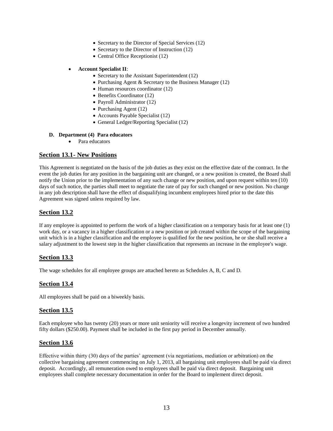- Secretary to the Director of Special Services (12)
- Secretary to the Director of Instruction (12)
- Central Office Receptionist (12)

#### **Account Specialist II**:

- Secretary to the Assistant Superintendent (12)
- Purchasing Agent & Secretary to the Business Manager  $(12)$
- Human resources coordinator (12)
- Benefits Coordinator (12)
- Payroll Administrator (12)
- Purchasing Agent  $(12)$
- Accounts Payable Specialist (12)
- General Ledger/Reporting Specialist (12)

#### **D. Department (4) Para educators**

• Para educators

### **Section 13.1- New Positions**

This Agreement is negotiated on the basis of the job duties as they exist on the effective date of the contract. In the event the job duties for any position in the bargaining unit are changed, or a new position is created, the Board shall notify the Union prior to the implementation of any such change or new position, and upon request within ten (10) days of such notice, the parties shall meet to negotiate the rate of pay for such changed or new position. No change in any job description shall have the effect of disqualifying incumbent employees hired prior to the date this Agreement was signed unless required by law.

### **Section 13.2**

If any employee is appointed to perform the work of a higher classification on a temporary basis for at least one (1) work day, or a vacancy in a higher classification or a new position or job created within the scope of the bargaining unit which is in a higher classification and the employee is qualified for the new position, he or she shall receive a salary adjustment to the lowest step in the higher classification that represents an increase in the employee's wage.

### **Section 13.3**

The wage schedules for all employee groups are attached hereto as Schedules A, B, C and D.

### **Section 13.4**

All employees shall be paid on a biweekly basis.

### **Section 13.5**

Each employee who has twenty (20) years or more unit seniority will receive a longevity increment of two hundred fifty dollars (\$250.00). Payment shall be included in the first pay period in December annually.

### **Section 13.6**

Effective within thirty (30) days of the parties' agreement (via negotiations, mediation or arbitration) on the collective bargaining agreement commencing on July 1, 2013, all bargaining unit employees shall be paid via direct deposit. Accordingly, all remuneration owed to employees shall be paid via direct deposit. Bargaining unit employees shall complete necessary documentation in order for the Board to implement direct deposit.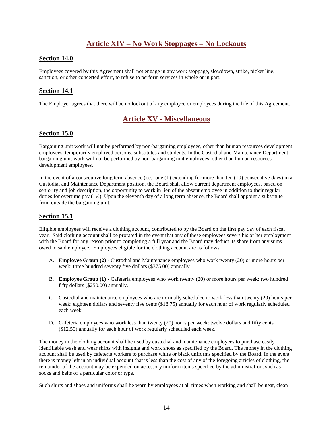## **Article XIV – No Work Stoppages – No Lockouts**

### <span id="page-23-0"></span>**Section 14.0**

Employees covered by this Agreement shall not engage in any work stoppage, slowdown, strike, picket line, sanction, or other concerted effort, to refuse to perform services in whole or in part.

### **Section 14.1**

<span id="page-23-1"></span>The Employer agrees that there will be no lockout of any employee or employees during the life of this Agreement.

## **Article XV - Miscellaneous**

### **Section 15.0**

Bargaining unit work will not be performed by non-bargaining employees, other than human resources development employees, temporarily employed persons, substitutes and students. In the Custodial and Maintenance Department, bargaining unit work will not be performed by non-bargaining unit employees, other than human resources development employees.

In the event of a consecutive long term absence (i.e.- one (1) extending for more than ten (10) consecutive days) in a Custodial and Maintenance Department position, the Board shall allow current department employees, based on seniority and job description, the opportunity to work in lieu of the absent employee in addition to their regular duties for overtime pay (1½). Upon the eleventh day of a long term absence, the Board shall appoint a substitute from outside the bargaining unit.

### **Section 15.1**

Eligible employees will receive a clothing account, contributed to by the Board on the first pay day of each fiscal year. Said clothing account shall be prorated in the event that any of these employees severs his or her employment with the Board for any reason prior to completing a full year and the Board may deduct its share from any sums owed to said employee. Employees eligible for the clothing account are as follows:

- A. **Employee Group (2)** Custodial and Maintenance employees who work twenty (20) or more hours per week: three hundred seventy five dollars (\$375.00) annually.
- B. **Employee Group (1)** Cafeteria employees who work twenty (20) or more hours per week: two hundred fifty dollars (\$250.00) annually.
- C. Custodial and maintenance employees who are normally scheduled to work less than twenty (20) hours per week: eighteen dollars and seventy five cents (\$18.75) annually for each hour of work regularly scheduled each week.
- D. Cafeteria employees who work less than twenty (20) hours per week: twelve dollars and fifty cents (\$12.50) annually for each hour of work regularly scheduled each week.

The money in the clothing account shall be used by custodial and maintenance employees to purchase easily identifiable wash and wear shirts with insignia and work shoes as specified by the Board. The money in the clothing account shall be used by cafeteria workers to purchase white or black uniforms specified by the Board. In the event there is money left in an individual account that is less than the cost of any of the foregoing articles of clothing, the remainder of the account may be expended on accessory uniform items specified by the administration, such as socks and belts of a particular color or type.

Such shirts and shoes and uniforms shall be worn by employees at all times when working and shall be neat, clean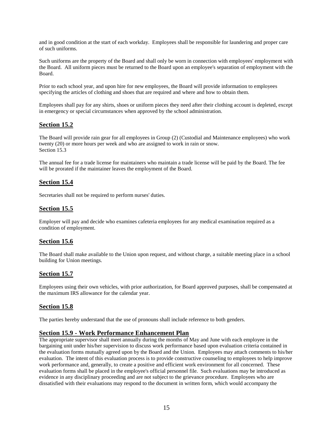and in good condition at the start of each workday. Employees shall be responsible for laundering and proper care of such uniforms.

Such uniforms are the property of the Board and shall only be worn in connection with employees' employment with the Board. All uniform pieces must be returned to the Board upon an employee's separation of employment with the Board.

Prior to each school year, and upon hire for new employees, the Board will provide information to employees specifying the articles of clothing and shoes that are required and where and how to obtain them.

Employees shall pay for any shirts, shoes or uniform pieces they need after their clothing account is depleted, except in emergency or special circumstances when approved by the school administration.

### **Section 15.2**

The Board will provide rain gear for all employees in Group (2) (Custodial and Maintenance employees) who work twenty (20) or more hours per week and who are assigned to work in rain or snow. Section 15.3

The annual fee for a trade license for maintainers who maintain a trade license will be paid by the Board. The fee will be prorated if the maintainer leaves the employment of the Board.

### **Section 15.4**

Secretaries shall not be required to perform nurses' duties.

### **Section 15.5**

Employer will pay and decide who examines cafeteria employees for any medical examination required as a condition of employment.

### **Section 15.6**

The Board shall make available to the Union upon request, and without charge, a suitable meeting place in a school building for Union meetings.

### **Section 15.7**

Employees using their own vehicles, with prior authorization, for Board approved purposes, shall be compensated at the maximum IRS allowance for the calendar year.

### **Section 15.8**

The parties hereby understand that the use of pronouns shall include reference to both genders.

#### **Section 15.9 - Work Performance Enhancement Plan**

The appropriate supervisor shall meet annually during the months of May and June with each employee in the bargaining unit under his/her supervision to discuss work performance based upon evaluation criteria contained in the evaluation forms mutually agreed upon by the Board and the Union. Employees may attach comments to his/her evaluation. The intent of this evaluation process is to provide constructive counseling to employees to help improve work performance and, generally, to create a positive and efficient work environment for all concerned. These evaluation forms shall be placed in the employee's official personnel file. Such evaluations may be introduced as evidence in any disciplinary proceeding and are not subject to the grievance procedure. Employees who are dissatisfied with their evaluations may respond to the document in written form, which would accompany the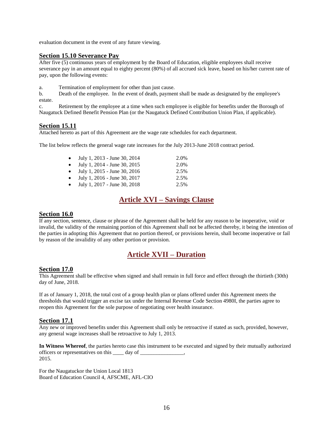evaluation document in the event of any future viewing.

### **Section 15.10 Severance Pay**

After five (5) continuous years of employment by the Board of Education, eligible employees shall receive severance pay in an amount equal to eighty percent (80%) of all accrued sick leave, based on his/her current rate of pay, upon the following events:

a. Termination of employment for other than just cause.

b. Death of the employee. In the event of death, payment shall be made as designated by the employee's estate.

c. Retirement by the employee at a time when such employee is eligible for benefits under the Borough of Naugatuck Defined Benefit Pension Plan (or the Naugatuck Defined Contribution Union Plan, if applicable).

### **Section 15.11**

Attached hereto as part of this Agreement are the wage rate schedules for each department.

The list below reflects the general wage rate increases for the July 2013-June 2018 contract period.

| $\bullet$ | July 1, 2013 - June 30, 2014 | 2.0% |
|-----------|------------------------------|------|
| $\bullet$ | July 1, 2014 - June 30, 2015 | 2.0% |
| $\bullet$ | July 1, 2015 - June 30, 2016 | 2.5% |
| $\bullet$ | July 1, 2016 - June 30, 2017 | 2.5% |
| $\bullet$ | July 1, 2017 - June 30, 2018 | 2.5% |

## **Article XVI – Savings Clause**

### <span id="page-25-0"></span>**Section 16.0**

If any section, sentence, clause or phrase of the Agreement shall be held for any reason to be inoperative, void or invalid, the validity of the remaining portion of this Agreement shall not be affected thereby, it being the intention of the parties in adopting this Agreement that no portion thereof, or provisions herein, shall become inoperative or fail by reason of the invalidity of any other portion or provision.

## **Article XVII – Duration**

### <span id="page-25-1"></span>**Section 17.0**

This Agreement shall be effective when signed and shall remain in full force and effect through the thirtieth (30th) day of June, 2018.

If as of January 1, 2018, the total cost of a group health plan or plans offered under this Agreement meets the thresholds that would trigger an excise tax under the Internal Revenue Code Section 4980I, the parties agree to reopen this Agreement for the sole purpose of negotiating over health insurance.

### **Section 17.1**

Any new or improved benefits under this Agreement shall only be retroactive if stated as such, provided, however, any general wage increases shall be retroactive to July 1, 2013.

**In Witness Whereof**, the parties hereto case this instrument to be executed and signed by their mutually authorized officers or representatives on this \_\_\_\_ day of \_\_\_\_\_\_\_\_\_\_\_\_\_\_\_\_, 2015.

For the Naugatuckor the Union Local 1813 Board of Education Council 4, AFSCME, AFL-CIO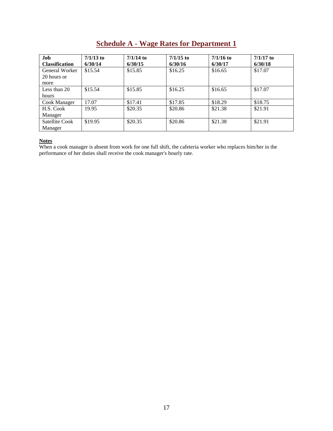# **Schedule A - Wage Rates for Department 1**

<span id="page-26-0"></span>

| Job                   | $7/1/13$ to | $7/1/14$ to | $7/1/15$ to | $7/1/16$ to | $7/1/17$ to |
|-----------------------|-------------|-------------|-------------|-------------|-------------|
| <b>Classification</b> | 6/30/14     | 6/30/15     | 6/30/16     | 6/30/17     | 6/30/18     |
| General Worker        | \$15.54     | \$15.85     | \$16.25     | \$16.65     | \$17.07     |
| 20 hours or           |             |             |             |             |             |
| more                  |             |             |             |             |             |
| Less than 20          | \$15.54     | \$15.85     | \$16.25     | \$16.65     | \$17.07     |
| hours                 |             |             |             |             |             |
| Cook Manager          | 17.07       | \$17.41     | \$17.85     | \$18.29     | \$18.75     |
| H.S. Cook             | 19.95       | \$20.35     | \$20.86     | \$21.38     | \$21.91     |
| Manager               |             |             |             |             |             |
| Satellite Cook        | \$19.95     | \$20.35     | \$20.86     | \$21.38     | \$21.91     |
| Manager               |             |             |             |             |             |

#### **Notes**

When a cook manager is absent from work for one full shift, the cafeteria worker who replaces him/her in the performance of her duties shall receive the cook manager's hourly rate.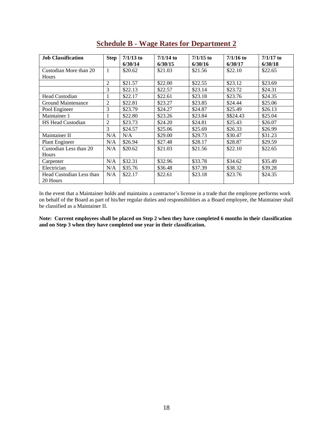<span id="page-27-0"></span>

| <b>Job Classification</b> | <b>Step</b>    | $7/1/13$ to<br>6/30/14 | $7/1/14$ to<br>6/30/15 | $7/1/15$ to<br>6/30/16 | $7/1/16$ to<br>6/30/17 | $7/1/17$ to<br>6/30/18 |
|---------------------------|----------------|------------------------|------------------------|------------------------|------------------------|------------------------|
| Custodian More than 20    | 1              | \$20.62                | \$21.03                | \$21.56                | \$22.10                | \$22.65                |
| Hours                     |                |                        |                        |                        |                        |                        |
|                           | $\overline{c}$ | \$21.57                | \$22.00                | \$22.55                | \$23.12                | \$23.69                |
|                           | 3              | \$22.13                | \$22.57                | \$23.14                | \$23.72                | \$24.31                |
| Head Custodian            | 1              | \$22.17                | \$22.61                | \$23.18                | \$23.76                | \$24.35                |
| <b>Ground Maintenance</b> | 2              | \$22.81                | \$23.27                | \$23.85                | \$24.44                | \$25.06                |
| Pool Engineer             | 3              | \$23.79                | \$24.27                | \$24.87                | \$25.49                | \$26.13                |
| Maintainer 1              | 1              | \$22.80                | \$23.26                | \$23.84                | \$\$24.43              | \$25.04                |
| <b>HS Head Custodian</b>  | 2              | \$23.73                | \$24.20                | \$24.81                | \$25.43                | \$26.07                |
|                           | 3              | \$24.57                | \$25.06                | \$25.69                | \$26.33                | \$26.99                |
| Maintainer II             | N/A            | N/A                    | \$29.00                | \$29.73                | \$30.47                | \$31.23                |
| <b>Plant Engineer</b>     | N/A            | \$26.94                | \$27.48                | \$28.17                | \$28.87                | \$29.59                |
| Custodian Less than 20    | N/A            | \$20.62                | \$21.03                | \$21.56                | \$22.10                | \$22.65                |
| Hours                     |                |                        |                        |                        |                        |                        |
| Carpenter                 | N/A            | \$32.31                | \$32.96                | \$33.78                | \$34.62                | \$35.49                |
| Electrician               | N/A            | \$35.76                | \$36.48                | \$37.39                | \$38.32                | \$39.28                |
| Head Custodian Less than  | N/A            | \$22.17                | \$22.61                | \$23.18                | \$23.76                | \$24.35                |
| 20 Hours                  |                |                        |                        |                        |                        |                        |

# **Schedule B - Wage Rates for Department 2**

In the event that a Maintainer holds and maintains a contractor's license in a trade that the employee performs work on behalf of the Board as part of his/her regular duties and responsibilities as a Board employee, the Maintainer shall be classified as a Maintainer II.

**Note: Current employees shall be placed on Step 2 when they have completed 6 months in their classification and on Step 3 when they have completed one year in their classification.**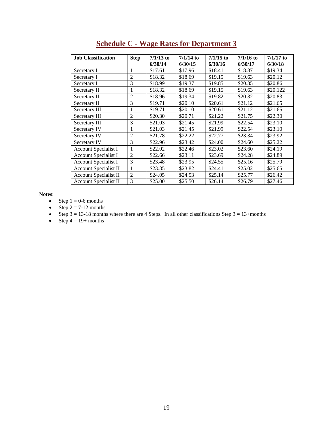<span id="page-28-0"></span>

| <b>Job Classification</b>    | <b>Step</b>    | $7/1/13$ to | $7/1/14$ to | $7/1/15$ to | $7/1/16$ to | $7/1/17$ to |
|------------------------------|----------------|-------------|-------------|-------------|-------------|-------------|
|                              |                | 6/30/14     | 6/30/15     | 6/30/16     | 6/30/17     | 6/30/18     |
| Secretary I                  | 1              | \$17.61     | \$17.96     | \$18.41     | \$18.87     | \$19.34     |
| Secretary I                  | 2              | \$18.32     | \$18.69     | \$19.15     | \$19.63     | \$20.12     |
| Secretary I                  | 3              | \$18.99     | \$19.37     | \$19.85     | \$20.35     | \$20.86     |
| Secretary II                 | 1              | \$18.32     | \$18.69     | \$19.15     | \$19.63     | \$20.122    |
| Secretary II                 | $\overline{2}$ | \$18.96     | \$19.34     | \$19.82     | \$20.32     | \$20.83     |
| Secretary II                 | 3              | \$19.71     | \$20.10     | \$20.61     | \$21.12     | \$21.65     |
| Secretary III                | 1              | \$19.71     | \$20.10     | \$20.61     | \$21.12     | \$21.65     |
| Secretary III                | $\overline{2}$ | \$20.30     | \$20.71     | \$21.22     | \$21.75     | \$22.30     |
| Secretary III                | 3              | \$21.03     | \$21.45     | \$21.99     | \$22.54     | \$23.10     |
| Secretary IV                 | 1              | \$21.03     | \$21.45     | \$21.99     | \$22.54     | \$23.10     |
| Secretary IV                 | $\overline{2}$ | \$21.78     | \$22.22     | \$22.77     | \$23.34     | \$23.92     |
| Secretary IV                 | 3              | \$22.96     | \$23.42     | \$24.00     | \$24.60     | \$25.22     |
| Account Specialist I         | 1              | \$22.02     | \$22.46     | \$23.02     | \$23.60     | \$24.19     |
| <b>Account Specialist I</b>  | $\overline{2}$ | \$22.66     | \$23.11     | \$23.69     | \$24.28     | \$24.89     |
| <b>Account Specialist I</b>  | 3              | \$23.48     | \$23.95     | \$24.55     | \$25.16     | \$25.79     |
| Account Specialist II        | 1              | \$23.35     | \$23.82     | \$24.41     | \$25.02     | \$25.65     |
| Account Specialist II        | $\overline{2}$ | \$24.05     | \$24.53     | \$25.14     | \$25.77     | \$26.42     |
| <b>Account Specialist II</b> | 3              | \$25.00     | \$25.50     | \$26.14     | \$26.79     | \$27.46     |

# **Schedule C - Wage Rates for Department 3**

**Notes**:

- Step  $1 = 0.6$  months
- Step  $2 = 7-12$  months
- Step  $3 = 13-18$  months where there are 4 Steps. In all other classifications Step  $3 = 13+$ months
- Step  $4 = 19+$  months